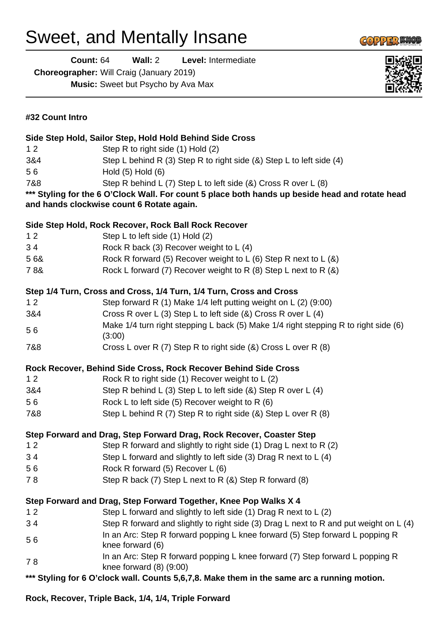## Sweet, and Mentally Insane

**Count:** 64 **Wall:** 2 **Level:** Intermediate

**Choreographer:** Will Craig (January 2019)

**Music:** Sweet but Psycho by Ava Max